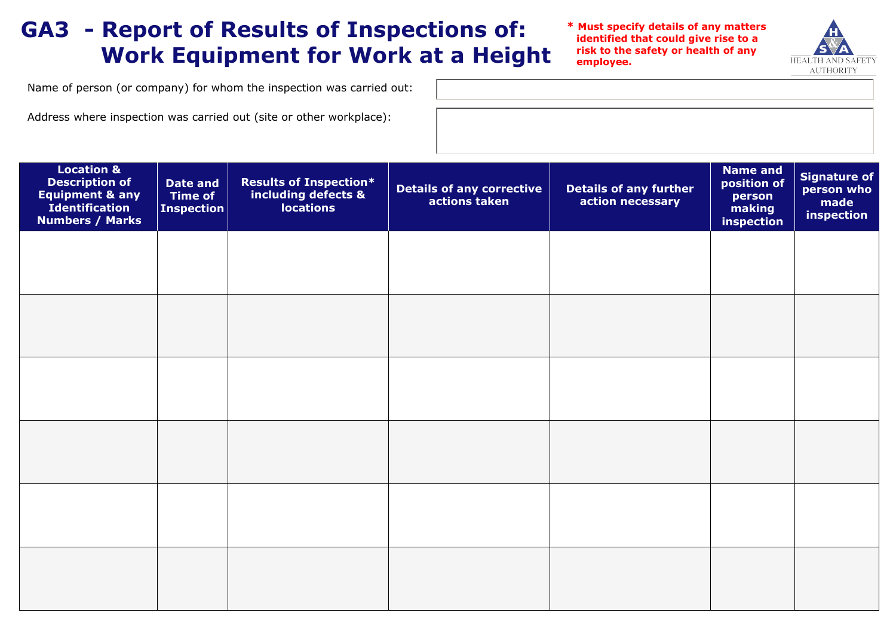## **GA3 - Report of Results of Inspections of: Work Equipment for Work at a Height**

**\* Must specify details of any matters identified that could give rise to a risk to the safety or health of any employee.**



Name of person (or company) for whom the inspection was carried out:

Address where inspection was carried out (site or other workplace):

| <b>Location &amp;</b><br><b>Description of</b><br><b>Equipment &amp; any</b><br><b>Identification</b><br><b>Numbers / Marks</b> | <b>Date and</b><br><b>Time of</b><br><b>Inspection</b> | <b>Results of Inspection*</b><br>including defects &<br><b>locations</b> | <b>Details of any corrective</b><br>actions taken | <b>Details of any further</b><br>action necessary | <b>Name and</b><br>position of<br>person<br>making<br>inspection | <b>Signature of</b><br>person who<br>made<br>inspection |
|---------------------------------------------------------------------------------------------------------------------------------|--------------------------------------------------------|--------------------------------------------------------------------------|---------------------------------------------------|---------------------------------------------------|------------------------------------------------------------------|---------------------------------------------------------|
|                                                                                                                                 |                                                        |                                                                          |                                                   |                                                   |                                                                  |                                                         |
|                                                                                                                                 |                                                        |                                                                          |                                                   |                                                   |                                                                  |                                                         |
|                                                                                                                                 |                                                        |                                                                          |                                                   |                                                   |                                                                  |                                                         |
|                                                                                                                                 |                                                        |                                                                          |                                                   |                                                   |                                                                  |                                                         |
|                                                                                                                                 |                                                        |                                                                          |                                                   |                                                   |                                                                  |                                                         |
|                                                                                                                                 |                                                        |                                                                          |                                                   |                                                   |                                                                  |                                                         |